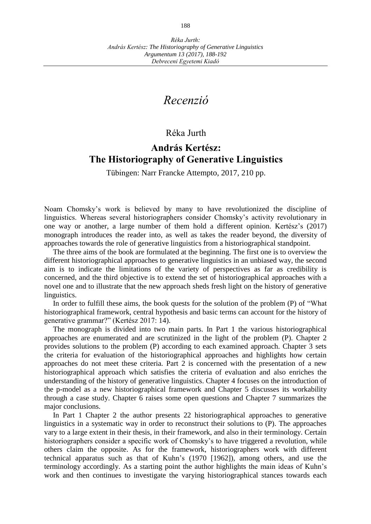## *Recenzió*

## Réka Jurth

## **András Kertész: The Historiography of Generative Linguistics**

Tübingen: Narr Francke Attempto, 2017, 210 pp.

Noam Chomsky's work is believed by many to have revolutionized the discipline of linguistics. Whereas several historiographers consider Chomsky's activity revolutionary in one way or another, a large number of them hold a different opinion. Kertész's (2017) monograph introduces the reader into, as well as takes the reader beyond, the diversity of approaches towards the role of generative linguistics from a historiographical standpoint.

The three aims of the book are formulated at the beginning. The first one is to overview the different historiographical approaches to generative linguistics in an unbiased way, the second aim is to indicate the limitations of the variety of perspectives as far as credibility is concerned, and the third objective is to extend the set of historiographical approaches with a novel one and to illustrate that the new approach sheds fresh light on the history of generative linguistics.

In order to fulfill these aims, the book quests for the solution of the problem (P) of "What historiographical framework, central hypothesis and basic terms can account for the history of generative grammar?" (Kertész 2017: 14).

The monograph is divided into two main parts. In Part 1 the various historiographical approaches are enumerated and are scrutinized in the light of the problem (P). Chapter 2 provides solutions to the problem (P) according to each examined approach. Chapter 3 sets the criteria for evaluation of the historiographical approaches and highlights how certain approaches do not meet these criteria. Part 2 is concerned with the presentation of a new historiographical approach which satisfies the criteria of evaluation and also enriches the understanding of the history of generative linguistics. Chapter 4 focuses on the introduction of the p-model as a new historiographical framework and Chapter 5 discusses its workability through a case study. Chapter 6 raises some open questions and Chapter 7 summarizes the major conclusions.

In Part 1 Chapter 2 the author presents 22 historiographical approaches to generative linguistics in a systematic way in order to reconstruct their solutions to (P). The approaches vary to a large extent in their thesis, in their framework, and also in their terminology. Certain historiographers consider a specific work of Chomsky's to have triggered a revolution, while others claim the opposite. As for the framework, historiographers work with different technical apparatus such as that of Kuhn's (1970 [1962]), among others, and use the terminology accordingly. As a starting point the author highlights the main ideas of Kuhn's work and then continues to investigate the varying historiographical stances towards each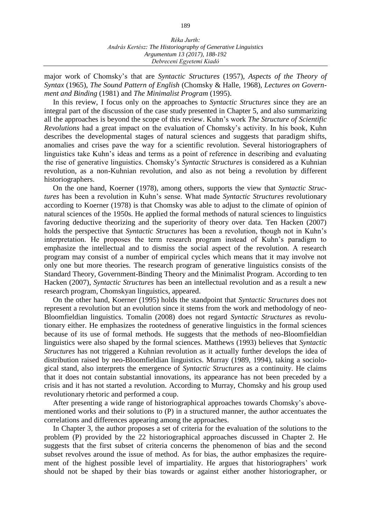major work of Chomsky's that are *Syntactic Structures* (1957), *Aspects of the Theory of Syntax* (1965), *The Sound Pattern of English* (Chomsky & Halle, 1968), *Lectures on Government and Binding* (1981) and *The Minimalist Program* (1995).

In this review, I focus only on the approaches to *Syntactic Structures* since they are an integral part of the discussion of the case study presented in Chapter 5, and also summarizing all the approaches is beyond the scope of this review. Kuhn's work *The Structure of Scientific Revolutions* had a great impact on the evaluation of Chomsky's activity. In his book, Kuhn describes the developmental stages of natural sciences and suggests that paradigm shifts, anomalies and crises pave the way for a scientific revolution. Several historiographers of linguistics take Kuhn's ideas and terms as a point of reference in describing and evaluating the rise of generative linguistics. Chomsky's *Syntactic Structures* is considered as a Kuhnian revolution, as a non-Kuhnian revolution, and also as not being a revolution by different historiographers.

On the one hand, Koerner (1978), among others, supports the view that *Syntactic Structures* has been a revolution in Kuhn's sense. What made *Syntactic Structures* revolutionary according to Koerner (1978) is that Chomsky was able to adjust to the climate of opinion of natural sciences of the 1950s. He applied the formal methods of natural sciences to linguistics favoring deductive theorizing and the superiority of theory over data. Ten Hacken (2007) holds the perspective that *Syntactic Structures* has been a revolution, though not in Kuhn's interpretation. He proposes the term research program instead of Kuhn's paradigm to emphasize the intellectual and to dismiss the social aspect of the revolution. A research program may consist of a number of empirical cycles which means that it may involve not only one but more theories. The research program of generative linguistics consists of the Standard Theory, Government-Binding Theory and the Minimalist Program. According to ten Hacken (2007), *Syntactic Structures* has been an intellectual revolution and as a result a new research program, Chomskyan linguistics, appeared.

On the other hand, Koerner (1995) holds the standpoint that *Syntactic Structures* does not represent a revolution but an evolution since it stems from the work and methodology of neo-Bloomfieldian linguistics. Tomalin (2008) does not regard *Syntactic Structures* as revolutionary either. He emphasizes the rootedness of generative linguistics in the formal sciences because of its use of formal methods. He suggests that the methods of neo-Bloomfieldian linguistics were also shaped by the formal sciences. Matthews (1993) believes that *Syntactic Structures* has not triggered a Kuhnian revolution as it actually further develops the idea of distribution raised by neo-Bloomfieldian linguistics. Murray (1989, 1994), taking a sociological stand, also interprets the emergence of *Syntactic Structures* as a continuity. He claims that it does not contain substantial innovations, its appearance has not been preceded by a crisis and it has not started a revolution. According to Murray, Chomsky and his group used revolutionary rhetoric and performed a coup.

After presenting a wide range of historiographical approaches towards Chomsky's abovementioned works and their solutions to (P) in a structured manner, the author accentuates the correlations and differences appearing among the approaches.

In Chapter 3, the author proposes a set of criteria for the evaluation of the solutions to the problem (P) provided by the 22 historiographical approaches discussed in Chapter 2. He suggests that the first subset of criteria concerns the phenomenon of bias and the second subset revolves around the issue of method. As for bias, the author emphasizes the requirement of the highest possible level of impartiality. He argues that historiographers' work should not be shaped by their bias towards or against either another historiographer, or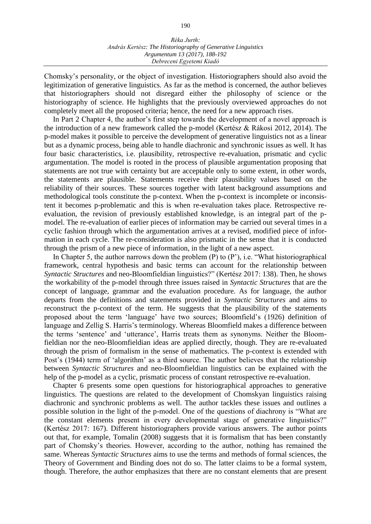Chomsky's personality, or the object of investigation. Historiographers should also avoid the legitimization of generative linguistics. As far as the method is concerned, the author believes that historiographers should not disregard either the philosophy of science or the historiography of science. He highlights that the previously overviewed approaches do not completely meet all the proposed criteria; hence, the need for a new approach rises.

In Part 2 Chapter 4, the author's first step towards the development of a novel approach is the introduction of a new framework called the p-model (Kertész & Rákosi 2012, 2014). The p-model makes it possible to perceive the development of generative linguistics not as a linear but as a dynamic process, being able to handle diachronic and synchronic issues as well. It has four basic characteristics, i.e. plausibility, retrospective re-evaluation, prismatic and cyclic argumentation. The model is rooted in the process of plausible argumentation proposing that statements are not true with certainty but are acceptable only to some extent, in other words, the statements are plausible. Statements receive their plausibility values based on the reliability of their sources. These sources together with latent background assumptions and methodological tools constitute the p-context. When the p-context is incomplete or inconsistent it becomes p-problematic and this is when re-evaluation takes place. Retrospective reevaluation, the revision of previously established knowledge, is an integral part of the pmodel. The re-evaluation of earlier pieces of information may be carried out several times in a cyclic fashion through which the argumentation arrives at a revised, modified piece of information in each cycle. The re-consideration is also prismatic in the sense that it is conducted through the prism of a new piece of information, in the light of a new aspect.

In Chapter 5, the author narrows down the problem  $(P)$  to  $(P')$ , i.e. "What historiographical framework, central hypothesis and basic terms can account for the relationship between *Syntactic Structures* and neo-Bloomfieldian linguistics?" (Kertész 2017: 138). Then, he shows the workability of the p-model through three issues raised in *Syntactic Structures* that are the concept of language, grammar and the evaluation procedure. As for language, the author departs from the definitions and statements provided in *Syntactic Structures* and aims to reconstruct the p-context of the term. He suggests that the plausibility of the statements proposed about the term 'language' have two sources; Bloomfield's (1926) definition of language and Zellig S. Harris's terminology. Whereas Bloomfield makes a difference between the terms 'sentence' and 'utterance', Harris treats them as synonyms. Neither the Bloomfieldian nor the neo-Bloomfieldian ideas are applied directly, though. They are re-evaluated through the prism of formalism in the sense of mathematics. The p-context is extended with Post's (1944) term of 'algorithm' as a third source. The author believes that the relationship between *Syntactic Structures* and neo-Bloomfieldian linguistics can be explained with the help of the p-model as a cyclic, prismatic process of constant retrospective re-evaluation.

Chapter 6 presents some open questions for historiographical approaches to generative linguistics. The questions are related to the development of Chomskyan linguistics raising diachronic and synchronic problems as well. The author tackles these issues and outlines a possible solution in the light of the p-model. One of the questions of diachrony is "What are the constant elements present in every developmental stage of generative linguistics?" (Kertész 2017: 167). Different historiographers provide various answers. The author points out that, for example, Tomalin (2008) suggests that it is formalism that has been constantly part of Chomsky's theories. However, according to the author, nothing has remained the same. Whereas *Syntactic Structures* aims to use the terms and methods of formal sciences, the Theory of Government and Binding does not do so. The latter claims to be a formal system, though. Therefore, the author emphasizes that there are no constant elements that are present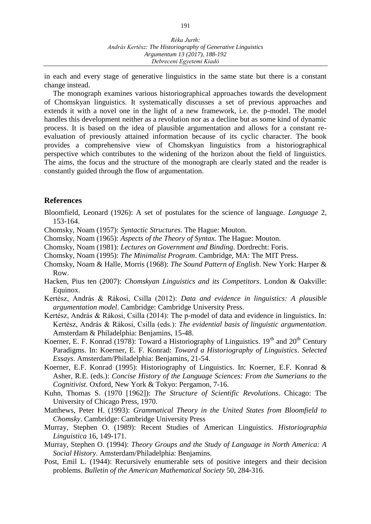in each and every stage of generative linguistics in the same state but there is a constant change instead.

The monograph examines various historiographical approaches towards the development of Chomskyan linguistics. It systematically discusses a set of previous approaches and extends it with a novel one in the light of a new framework, i.e. the p-model. The model handles this development neither as a revolution nor as a decline but as some kind of dynamic process. It is based on the idea of plausible argumentation and allows for a constant reevaluation of previously attained information because of its cyclic character. The book provides a comprehensive view of Chomskyan linguistics from a historiographical perspective which contributes to the widening of the horizon about the field of linguistics. The aims, the focus and the structure of the monograph are clearly stated and the reader is constantly guided through the flow of argumentation.

## **References**

- Bloomfield, Leonard (1926): A set of postulates for the science of language. *Language* 2, 153-164.
- Chomsky, Noam (1957): *Syntactic Structures*. The Hague: Mouton.
- Chomsky, Noam (1965): *Aspects of the Theory of Syntax*. The Hague: Mouton.
- Chomsky, Noam (1981): *Lectures on Government and Binding*. Dordrecht: Foris.
- Chomsky, Noam (1995): *The Minimalist Program*. Cambridge, MA: The MIT Press.
- Chomsky, Noam & Halle, Morris (1968): *The Sound Pattern of English*. New York: Harper & Row.
- Hacken, Pius ten (2007): *Chomskyan Linguistics and its Competitors*. London & Oakville: Equinox.
- Kertész, András & Rákosi, Csilla (2012): *Data and evidence in linguistics: A plausible argumentation model*. Cambridge: Cambridge University Press.
- Kertész, András & Rákosi, Csilla (2014): The p-model of data and evidence in linguistics. In: Kertész, András & Rákosi, Csilla (eds.): *The evidential basis of linguistic argumentation*. Amsterdam & Philadelphia: Benjamins, 15-48.
- Koerner, E. F. Konrad (1978): Toward a Historiography of Linguistics. 19<sup>th</sup> and 20<sup>th</sup> Century Paradigms. In: Koerner, E. F. Konrad: *Toward a Historiography of Linguistics*. *Selected Essays*. Amsterdam/Philadelphia: Benjamins, 21-54.
- Koerner, E.F. Konrad (1995): Historiography of Linguistics. In: Koerner, E.F. Konrad & Asher, R.E. (eds.): *Concise History of the Language Sciences: From the Sumerians to the Cognitivist*. Oxford, New York & Tokyo: Pergamon, 7-16.
- Kuhn, Thomas S. (1970 [1962]): *The Structure of Scientific Revolutions*. Chicago: The University of Chicago Press, 1970.
- Matthews, Peter H. (1993): *Grammatical Theory in the United States from Bloomfield to Chomsky*. Cambridge: Cambridge University Press
- Murray, Stephen O. (1989): Recent Studies of American Linguistics. *Historiographia Linguistica* 16, 149-171.
- Murray, Stephen O. (1994): *Theory Groups and the Study of Language in North America: A Social History*. Amsterdam/Philadelphia: Benjamins.
- Post, Emil L. (1944): Recursively enumerable sets of positive integers and their decision problems. *Bulletin of the American Mathematical Society* 50, 284-316.